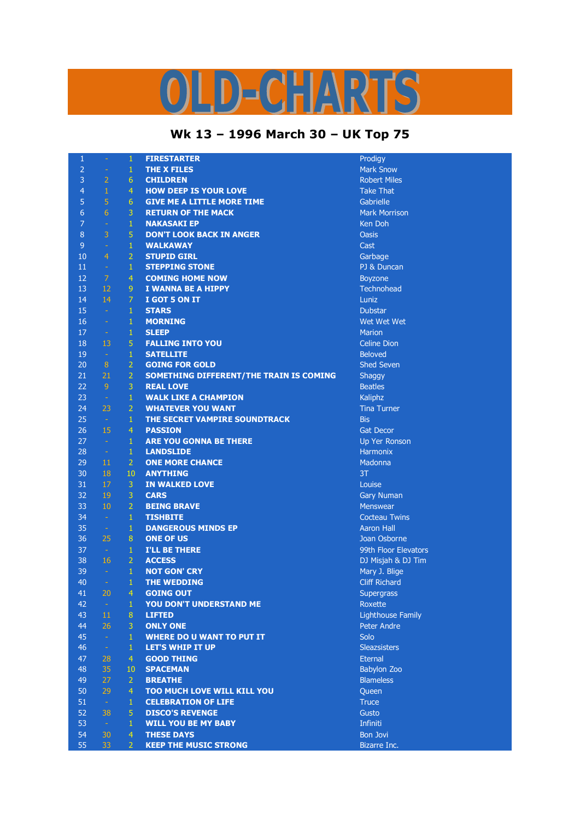## D-CHARTS L,

## **Wk 13 – 1996 March 30 – UK Top 75**

| $\mathbf{1}$   | $\omega$       | $\mathbf{1}$     | <b>FIRESTARTER</b>                      | Prodigy                  |
|----------------|----------------|------------------|-----------------------------------------|--------------------------|
| $\overline{2}$ | $\equiv$       | $\mathbf{1}$     | <b>THE X FILES</b>                      | <b>Mark Snow</b>         |
| 3              | $\overline{2}$ | 6                | <b>CHILDREN</b>                         | <b>Robert Miles</b>      |
| $\overline{4}$ | $\mathbf{1}$   | $\overline{4}$   | <b>HOW DEEP IS YOUR LOVE</b>            | <b>Take That</b>         |
| 5              | 5              | 6                | <b>GIVE ME A LITTLE MORE TIME</b>       | Gabrielle                |
| 6              | 6              | 3                | <b>RETURN OF THE MACK</b>               | <b>Mark Morrison</b>     |
| $\overline{7}$ | $\omega$       | $\mathbf{1}$     | <b>NAKASAKI EP</b>                      | Ken Doh                  |
| $\bf 8$        | 3              | 5                | <b>DON'T LOOK BACK IN ANGER</b>         | <b>Oasis</b>             |
| 9              | $\equiv$       | $\mathbf{1}$     | <b>WALKAWAY</b>                         | Cast                     |
| 10             | $\overline{4}$ | $\overline{2}$   | <b>STUPID GIRL</b>                      | Garbage                  |
| 11             | $\sim$         | $\mathbf{1}$     | <b>STEPPING STONE</b>                   | PJ & Duncan              |
| 12             | $\overline{7}$ | $\overline{4}$   | <b>COMING HOME NOW</b>                  | <b>Boyzone</b>           |
| 13             | 12             | 9                | I WANNA BE A HIPPY                      | Technohead               |
| 14             | 14             | $\overline{7}$   | I GOT 5 ON IT                           | Luniz                    |
| 15             | $\sim$         | $\mathbf{1}$     | <b>STARS</b>                            | <b>Dubstar</b>           |
| 16             | $\omega$       | $\mathbf{1}$     | <b>MORNING</b>                          | Wet Wet Wet              |
| 17             | $\sim$         | $\mathbf{1}$     | <b>SLEEP</b>                            | <b>Marion</b>            |
| 18             | 13             | 5                | <b>FALLING INTO YOU</b>                 | <b>Celine Dion</b>       |
| 19             | $\rightarrow$  | $\mathbf{1}$     | <b>SATELLITE</b>                        | <b>Beloved</b>           |
| 20             | 8              | $\overline{2}$   | <b>GOING FOR GOLD</b>                   | <b>Shed Seven</b>        |
| 21             | 21             | $\overline{2}$   | SOMETHING DIFFERENT/THE TRAIN IS COMING | Shaggy                   |
| 22             | $\overline{9}$ | 3                | <b>REAL LOVE</b>                        | <b>Beatles</b>           |
| 23             | $\rightarrow$  | $\mathbf{1}$     | <b>WALK LIKE A CHAMPION</b>             | Kaliphz                  |
| 24             | 23             | $\overline{2}$   | <b>WHATEVER YOU WANT</b>                | <b>Tina Turner</b>       |
| 25             | $\sim$         | 1                | THE SECRET VAMPIRE SOUNDTRACK           | <b>Bis</b>               |
| 26             | 15             | $\overline{4}$   | <b>PASSION</b>                          | <b>Gat Decor</b>         |
| 27             | $\sim$         | 1                | <b>ARE YOU GONNA BE THERE</b>           | Up Yer Ronson            |
| 28             | $\rightarrow$  | $\mathbf{1}$     | <b>LANDSLIDE</b>                        | <b>Harmonix</b>          |
| 29             | 11             | $\overline{2}$   | <b>ONE MORE CHANCE</b>                  | Madonna                  |
| 30             | 18             | 10               | <b>ANYTHING</b>                         | 3T                       |
| 31             | 17             | 3                | <b>IN WALKED LOVE</b>                   | Louise                   |
| 32             | 19             | 3                | <b>CARS</b>                             | <b>Gary Numan</b>        |
| 33             | 10             | $\overline{2}$   | <b>BEING BRAVE</b>                      | <b>Menswear</b>          |
| 34             | $\rightarrow$  | $\mathbf{1}$     | <b>TISHBITE</b>                         | <b>Cocteau Twins</b>     |
| 35             | $\sim$         | $\mathbf{1}$     | <b>DANGEROUS MINDS EP</b>               | <b>Aaron Hall</b>        |
| 36             | 25             | $\boldsymbol{8}$ | <b>ONE OF US</b>                        | Joan Osborne             |
| 37             | $\sim$         | $\mathbf{1}$     | <b>I'LL BE THERE</b>                    | 99th Floor Elevators     |
| 38             | 16             | $\overline{2}$   | <b>ACCESS</b>                           | DJ Misjah & DJ Tim       |
| 39             | $\sim$         | $\mathbf{1}$     | <b>NOT GON' CRY</b>                     | Mary J. Blige            |
| 40             | $\sim$         | $\mathbf{1}$     | <b>THE WEDDING</b>                      | <b>Cliff Richard</b>     |
| 41             | 20             | 4                | <b>GOING OUT</b>                        | Supergrass               |
| 42             | $\equiv$       | 1                | YOU DON'T UNDERSTAND ME                 | Roxette                  |
| 43             | 11             | 8                | <b>LIFTED</b>                           | <b>Lighthouse Family</b> |
| 44             | 26             | 3                | <b>ONLY ONE</b>                         | Peter Andre              |
| 45             | $\omega$       | $\mathbf{1}$     | <b>WHERE DO U WANT TO PUT IT</b>        | Solo                     |
| 46             | $\omega$       | $\mathbf{1}$     | <b>LET'S WHIP IT UP</b>                 | <b>Sleazsisters</b>      |
| 47             | 28             | $\overline{4}$   | <b>GOOD THING</b>                       | <b>Eternal</b>           |
| 48             | 35             | 10               | <b>SPACEMAN</b>                         | <b>Babylon Zoo</b>       |
| 49             | 27             | $\overline{2}$   | <b>BREATHE</b>                          | <b>Blameless</b>         |
| 50             | 29             | $\overline{4}$   | <b>TOO MUCH LOVE WILL KILL YOU</b>      | Queen                    |
| 51             | $\sim$         | $\mathbf{1}$     | <b>CELEBRATION OF LIFE</b>              | <b>Truce</b>             |
| 52             | 38             | $\overline{5}$   | <b>DISCO'S REVENGE</b>                  | Gusto                    |
| 53             | $\sim$         | $\mathbf{1}$     | <b>WILL YOU BE MY BABY</b>              | Infiniti                 |
| 54             | 30             | $\overline{4}$   | <b>THESE DAYS</b>                       | <b>Bon Jovi</b>          |
| 55             | 33             | $\overline{2}$   | <b>KEEP THE MUSIC STRONG</b>            | Bizarre Inc.             |
|                |                |                  |                                         |                          |